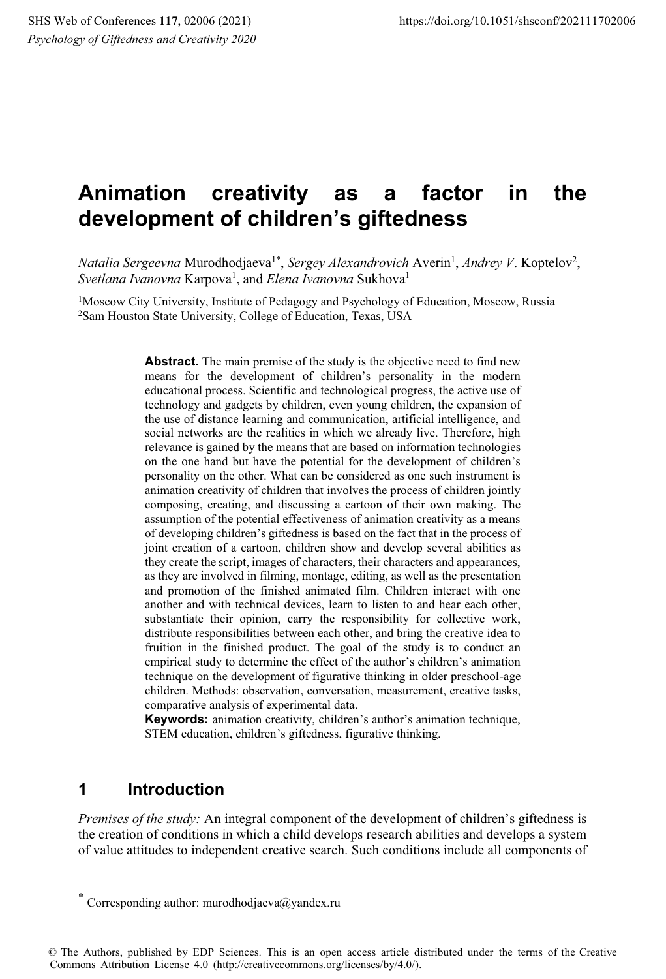# **Animation creativity as a factor in the development of children's giftedness**

Natalia Sergeevna Murodhodjaeva<sup>1\*</sup>, Sergey Alexandrovich Averin<sup>1</sup>, Andrey V. Koptelov<sup>2</sup>,  $S$ v*etlana Ivanovna* Karpova<sup>1</sup>, and *Elena Ivanovna* Sukhova<sup>1</sup>

1Moscow City University, Institute of Pedagogy and Psychology of Education, Moscow, Russia 2Sam Houston State University, College of Education, Texas, USA

> **Abstract.** The main premise of the study is the objective need to find new means for the development of children's personality in the modern educational process. Scientific and technological progress, the active use of technology and gadgets by children, even young children, the expansion of the use of distance learning and communication, artificial intelligence, and social networks are the realities in which we already live. Therefore, high relevance is gained by the means that are based on information technologies on the one hand but have the potential for the development of children's personality on the other. What can be considered as one such instrument is animation creativity of children that involves the process of children jointly composing, creating, and discussing a cartoon of their own making. The assumption of the potential effectiveness of animation creativity as a means of developing children's giftedness is based on the fact that in the process of joint creation of a cartoon, children show and develop several abilities as they create the script, images of characters, their characters and appearances, as they are involved in filming, montage, editing, as well as the presentation and promotion of the finished animated film. Children interact with one another and with technical devices, learn to listen to and hear each other, substantiate their opinion, carry the responsibility for collective work, distribute responsibilities between each other, and bring the creative idea to fruition in the finished product. The goal of the study is to conduct an empirical study to determine the effect of the author's children's animation technique on the development of figurative thinking in older preschool-age children. Methods: observation, conversation, measurement, creative tasks, comparative analysis of experimental data.

> **Keywords:** animation creativity, children's author's animation technique, STEM education, children's giftedness, figurative thinking.

#### **1 Introduction**

*Premises of the study:* An integral component of the development of children's giftedness is the creation of conditions in which a child develops research abilities and develops a system of value attitudes to independent creative search. Such conditions include all components of

© The Authors, published by EDP Sciences. This is an open access article distributed under the terms of the Creative Commons Attribution License 4.0 (http://creativecommons.org/licenses/by/4.0/).

Corresponding author: murodhodjaeva@yandex.ru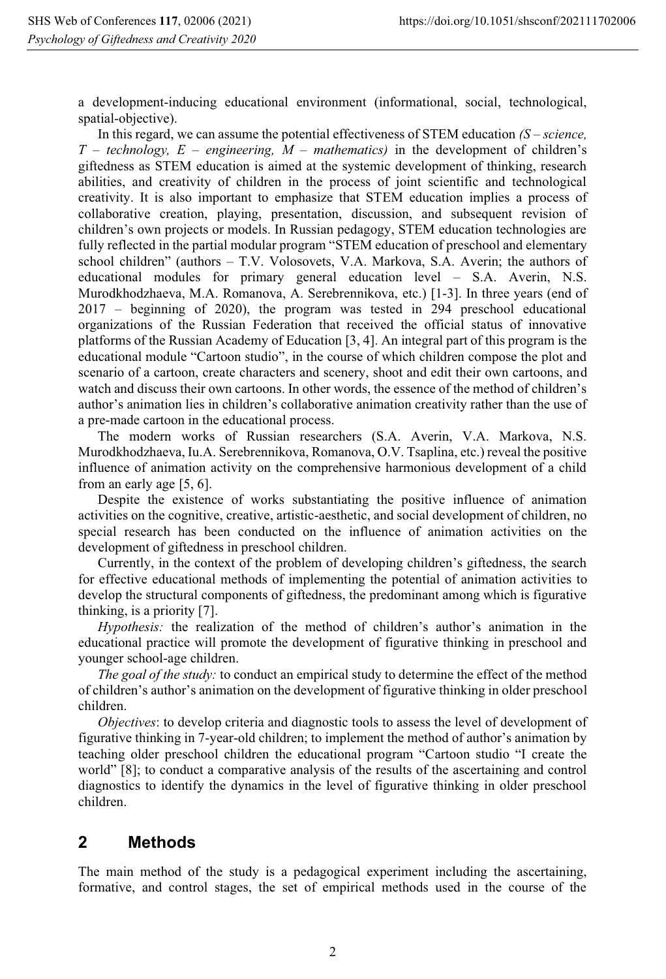a development-inducing educational environment (informational, social, technological, spatial-objective).

In this regard, we can assume the potential effectiveness of STEM education *(S – science, T – technology, E – engineering, M – mathematics)* in the development of children's giftedness as STEM education is aimed at the systemic development of thinking, research abilities, and creativity of children in the process of joint scientific and technological creativity. It is also important to emphasize that STEM education implies a process of collaborative creation, playing, presentation, discussion, and subsequent revision of children's own projects or models. In Russian pedagogy, STEM education technologies are fully reflected in the partial modular program "STEM education of preschool and elementary school children" (authors – T.V. Volosovets, V.A. Markova, S.A. Averin; the authors of educational modules for primary general education level – S.A. Averin, N.S. Murodkhodzhaeva, M.A. Romanova, A. Serebrennikova, etc.) [1-3]. In three years (end of 2017 – beginning of 2020), the program was tested in 294 preschool educational organizations of the Russian Federation that received the official status of innovative platforms of the Russian Academy of Education [3, 4]. An integral part of this program is the educational module "Cartoon studio", in the course of which children compose the plot and scenario of a cartoon, create characters and scenery, shoot and edit their own cartoons, and watch and discuss their own cartoons. In other words, the essence of the method of children's author's animation lies in children's collaborative animation creativity rather than the use of a pre-made cartoon in the educational process.

The modern works of Russian researchers (S.A. Averin, V.A. Markova, N.S. Murodkhodzhaeva, Iu.A. Serebrennikova, Romanova, O.V. Tsaplina, etc.) reveal the positive influence of animation activity on the comprehensive harmonious development of a child from an early age [5, 6].

Despite the existence of works substantiating the positive influence of animation activities on the cognitive, creative, artistic-aesthetic, and social development of children, no special research has been conducted on the influence of animation activities on the development of giftedness in preschool children.

Currently, in the context of the problem of developing children's giftedness, the search for effective educational methods of implementing the potential of animation activities to develop the structural components of giftedness, the predominant among which is figurative thinking, is a priority [7].

*Hypothesis:* the realization of the method of children's author's animation in the educational practice will promote the development of figurative thinking in preschool and younger school-age children.

*The goal of the study:* to conduct an empirical study to determine the effect of the method of children's author's animation on the development of figurative thinking in older preschool children.

*Objectives*: to develop criteria and diagnostic tools to assess the level of development of figurative thinking in 7-year-old children; to implement the method of author's animation by teaching older preschool children the educational program "Cartoon studio "I create the world" [8]; to conduct a comparative analysis of the results of the ascertaining and control diagnostics to identify the dynamics in the level of figurative thinking in older preschool children.

## **2 Methods**

The main method of the study is a pedagogical experiment including the ascertaining, formative, and control stages, the set of empirical methods used in the course of the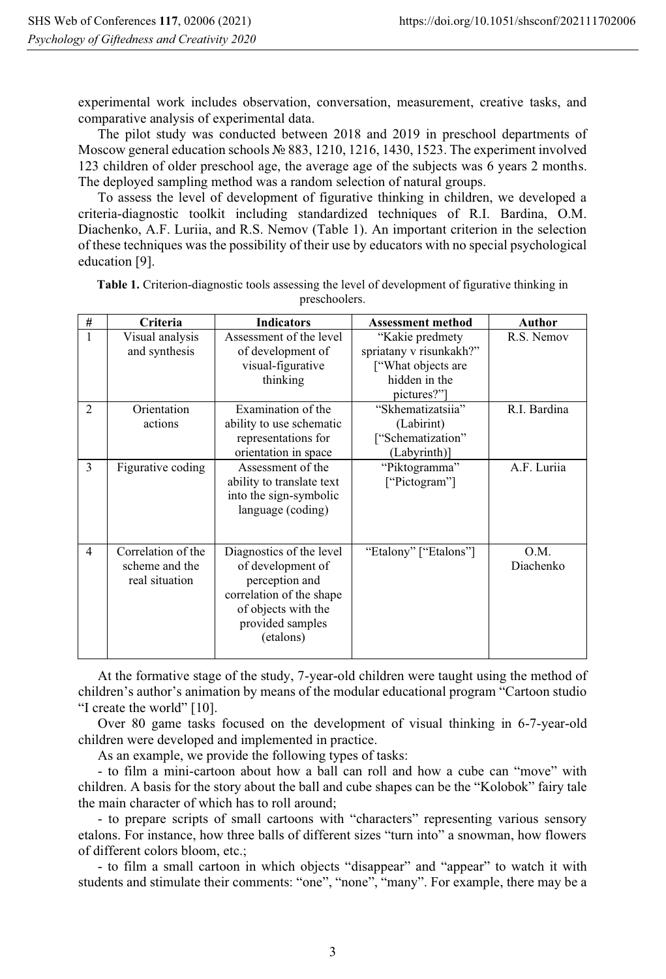experimental work includes observation, conversation, measurement, creative tasks, and comparative analysis of experimental data.

The pilot study was conducted between 2018 and 2019 in preschool departments of Moscow general education schools № 883, 1210, 1216, 1430, 1523. The experiment involved 123 children of older preschool age, the average age of the subjects was 6 years 2 months. The deployed sampling method was a random selection of natural groups.

To assess the level of development of figurative thinking in children, we developed a criteria-diagnostic toolkit including standardized techniques of R.I. Bardina, O.M. Diachenko, A.F. Luriia, and R.S. Nemov (Table 1). An important criterion in the selection of these techniques was the possibility of their use by educators with no special psychological education [9].

| $\#$                          | Criteria                                               | <b>Indicators</b>                                                                                                                                   | <b>Assessment method</b>                                                                        | <b>Author</b>     |
|-------------------------------|--------------------------------------------------------|-----------------------------------------------------------------------------------------------------------------------------------------------------|-------------------------------------------------------------------------------------------------|-------------------|
|                               | Visual analysis<br>and synthesis                       | Assessment of the level<br>of development of<br>visual-figurative<br>thinking                                                                       | "Kakie predmety<br>spriatany v risunkakh?"<br>["What objects are<br>hidden in the<br>pictures?" | R.S. Nemov        |
| $\mathfrak{D}_{\mathfrak{p}}$ | Orientation<br>actions                                 | Examination of the<br>ability to use schematic<br>representations for<br>orientation in space                                                       | "Skhematizatsiia"<br>(Labirint)<br>["Schematization"<br>(Labyrinth)]                            | R.I. Bardina      |
| $\mathcal{E}$                 | Figurative coding                                      | Assessment of the<br>ability to translate text<br>into the sign-symbolic<br>language (coding)                                                       | "Piktogramma"<br>["Pictogram"]                                                                  | A.F. Lurija       |
| $\overline{4}$                | Correlation of the<br>scheme and the<br>real situation | Diagnostics of the level<br>of development of<br>perception and<br>correlation of the shape<br>of objects with the<br>provided samples<br>(etalons) | "Etalony" ["Etalons"]                                                                           | O.M.<br>Diachenko |

**Table 1.** Criterion-diagnostic tools assessing the level of development of figurative thinking in preschoolers.

At the formative stage of the study, 7-year-old children were taught using the method of children's author's animation by means of the modular educational program "Cartoon studio "I create the world" [10].

Over 80 game tasks focused on the development of visual thinking in 6-7-year-old children were developed and implemented in practice.

As an example, we provide the following types of tasks:

- to film a mini-cartoon about how a ball can roll and how a cube can "move" with children. A basis for the story about the ball and cube shapes can be the "Kolobok" fairy tale the main character of which has to roll around;

- to prepare scripts of small cartoons with "characters" representing various sensory etalons. For instance, how three balls of different sizes "turn into" a snowman, how flowers of different colors bloom, etc.;

- to film a small cartoon in which objects "disappear" and "appear" to watch it with students and stimulate their comments: "one", "none", "many". For example, there may be a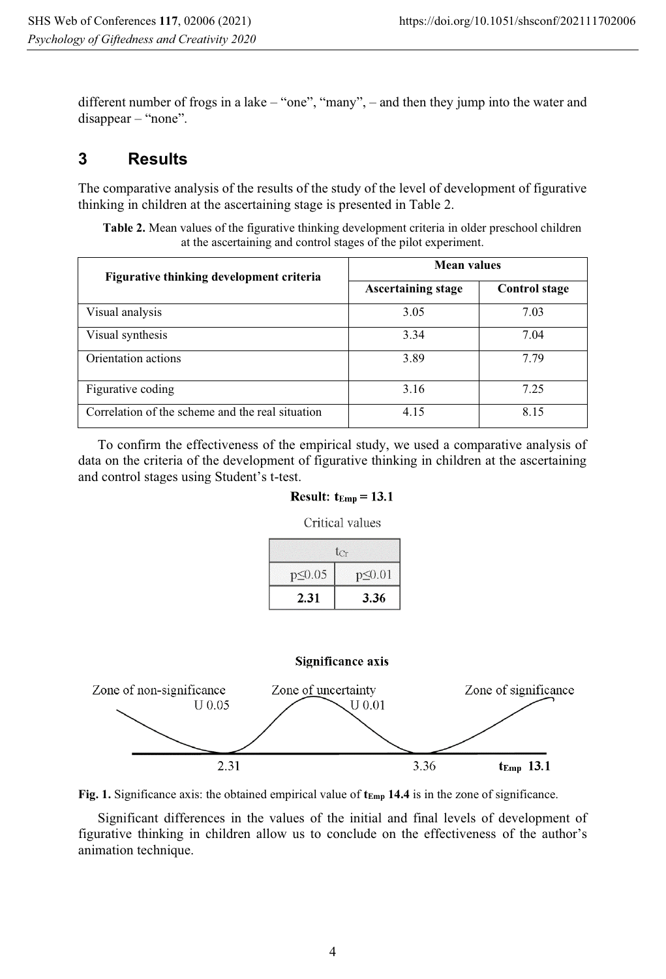different number of frogs in a lake – "one", "many", – and then they jump into the water and disappear – "none".

# **3 Results**

The comparative analysis of the results of the study of the level of development of figurative thinking in children at the ascertaining stage is presented in Table 2.

**Table 2.** Mean values of the figurative thinking development criteria in older preschool children at the ascertaining and control stages of the pilot experiment.

| Figurative thinking development criteria         | <b>Mean values</b>        |                      |
|--------------------------------------------------|---------------------------|----------------------|
|                                                  | <b>Ascertaining stage</b> | <b>Control stage</b> |
| Visual analysis                                  | 3.05                      | 7.03                 |
| Visual synthesis                                 | 3.34                      | 7.04                 |
| Orientation actions                              | 3.89                      | 7.79                 |
| Figurative coding                                | 3.16                      | 7.25                 |
| Correlation of the scheme and the real situation | 4.15                      | 8.15                 |

To confirm the effectiveness of the empirical study, we used a comparative analysis of data on the criteria of the development of figurative thinking in children at the ascertaining and control stages using Student's t-test.

### Result:  $t_{Emp} = 13.1$ Critical values

| $t_{cr}$     |               |  |
|--------------|---------------|--|
| $p \le 0.05$ | $p \leq 0.01$ |  |
| 2.31         | 3.36          |  |

#### Significance axis



**Fig. 1.** Significance axis: the obtained empirical value of  $t_{\text{Emp}}$  14.4 is in the zone of significance.

Significant differences in the values of the initial and final levels of development of figurative thinking in children allow us to conclude on the effectiveness of the author's animation technique.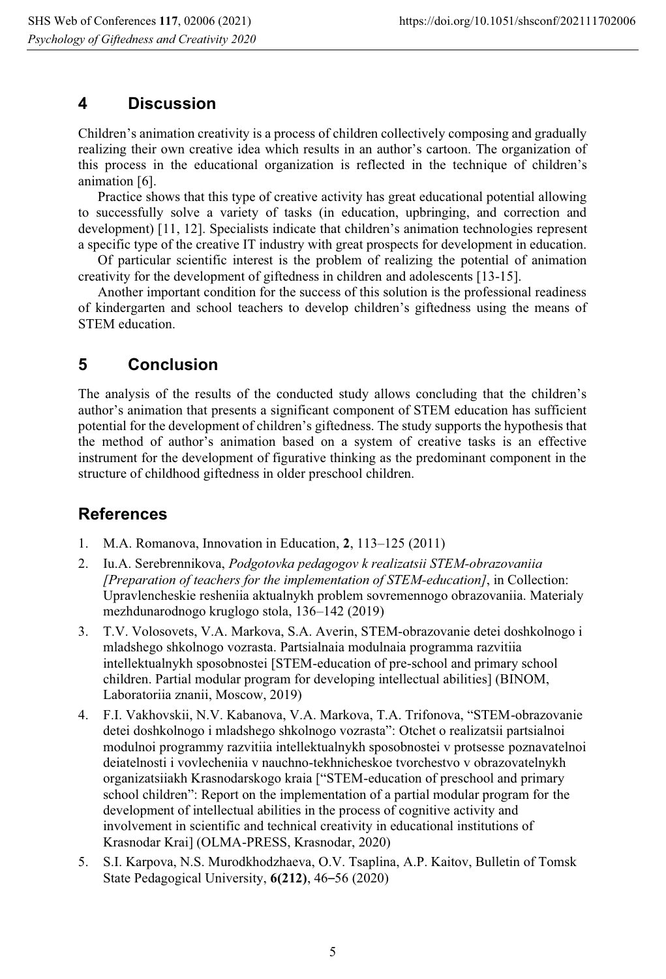#### **4 Discussion**

Children's animation creativity is a process of children collectively composing and gradually realizing their own creative idea which results in an author's cartoon. The organization of this process in the educational organization is reflected in the technique of children's animation [6].

Practice shows that this type of creative activity has great educational potential allowing to successfully solve a variety of tasks (in education, upbringing, and correction and development) [11, 12]. Specialists indicate that children's animation technologies represent a specific type of the creative IT industry with great prospects for development in education.

Of particular scientific interest is the problem of realizing the potential of animation creativity for the development of giftedness in children and adolescents [13-15].

Another important condition for the success of this solution is the professional readiness of kindergarten and school teachers to develop children's giftedness using the means of STEM education.

### **5 Conclusion**

The analysis of the results of the conducted study allows concluding that the children's author's animation that presents a significant component of STEM education has sufficient potential for the development of children's giftedness. The study supports the hypothesis that the method of author's animation based on a system of creative tasks is an effective instrument for the development of figurative thinking as the predominant component in the structure of childhood giftedness in older preschool children.

#### **References**

- 1. M.A. Romanova, Innovation in Education, **2**, 113–125 (2011)
- 2. Iu.A. Serebrennikova, *Podgotovka pedagogov k realizatsii STEM-obrazovaniia [Preparation of teachers for the implementation of STEM-education]*, in Collection: Upravlencheskie resheniia aktualnykh problem sovremennogo obrazovaniia. Materialy mezhdunarodnogo kruglogo stola, 136–142 (2019)
- 3. T.V. Volosovets, V.A. Markova, S.A. Averin, STEM-obrazovanie detei doshkolnogo i mladshego shkolnogo vozrasta. Partsialnaia modulnaia programma razvitiia intellektualnykh sposobnostei [STEM-education of pre-school and primary school children. Partial modular program for developing intellectual abilities] (BINOM, Laboratoriia znanii, Moscow, 2019)
- 4. F.I. Vakhovskii, N.V. Kabanova, V.A. Markova, T.A. Trifonova, "STEM-obrazovanie detei doshkolnogo i mladshego shkolnogo vozrasta": Otchet o realizatsii partsialnoi modulnoi programmy razvitiia intellektualnykh sposobnostei v protsesse poznavatelnoi deiatelnosti i vovlecheniia v nauchno-tekhnicheskoe tvorchestvo v obrazovatelnykh organizatsiiakh Krasnodarskogo kraia ["STEM-education of preschool and primary school children": Report on the implementation of a partial modular program for the development of intellectual abilities in the process of cognitive activity and involvement in scientific and technical creativity in educational institutions of Krasnodar Krai] (OLMA-PRESS, Krasnodar, 2020)
- 5. S.I. Karpova, N.S. Murodkhodzhaeva, O.V. Tsaplina, A.P. Kaitov, Bulletin of Tomsk State Pedagogical University, **6(212)**, 46–56 (2020)